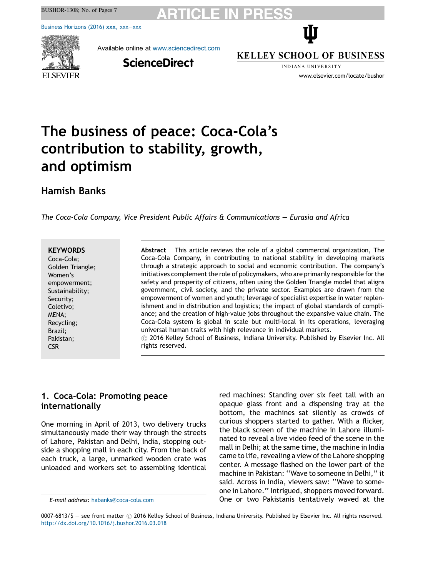BUSHOR-1308; No. of Pages 7

Business [Horizons](http://dx.doi.org/10.1016/j.bushor.2016.03.018) (2016) xxx, xxx—xxx



Available online at [www.sciencedirect.com](http://www.sciencedirect.com/science/journal/00076813)

**ScienceDirect** 

**KELLEY SCHOOL OF BUSINESS** 

Ū

INDIANA UNIVERSITY www.elsevier.com/locate/bushor

# The business of peace: Coca-Cola's contribution to stability, growth, and optimism

# Hamish Banks

The Coca-Cola Company, Vice President Public Affairs & Communications — Eurasia and Africa

### **KEYWORDS**

Coca-Cola; Golden Triangle; Women's empowerment; Sustainability; Security; Coletivo; MENA; Recycling; Brazil; Pakistan; CSR

Abstract This article reviews the role of a global commercial organization, The Coca-Cola Company, in contributing to national stability in developing markets through a strategic approach to social and economic contribution. The company's initiatives complement the role of policymakers, who are primarily responsible for the safety and prosperity of citizens, often using the Golden Triangle model that aligns government, civil society, and the private sector. Examples are drawn from the empowerment of women and youth; leverage of specialist expertise in water replenishment and in distribution and logistics; the impact of global standards of compliance; and the creation of high-value jobs throughout the expansive value chain. The Coca-Cola system is global in scale but multi-local in its operations, leveraging universal human traits with high relevance in individual markets.  $\odot$  2016 Kelley School of Business, Indiana University. Published by Elsevier Inc. All rights reserved.

# 1. Coca-Cola: Promoting peace internationally

One morning in April of 2013, two delivery trucks simultaneously made their way through the streets of Lahore, Pakistan and Delhi, India, stopping outside a shopping mall in each city. From the back of each truck, a large, unmarked wooden crate was unloaded and workers set to assembling identical red machines: Standing over six feet tall with an opaque glass front and a dispensing tray at the bottom, the machines sat silently as crowds of curious shoppers started to gather. With a flicker, the black screen of the machine in Lahore illuminated to reveal a live video feed of the scene in the mall in Delhi; at the same time, the machine in India came to life, revealing a view of the Lahore shopping center. A message flashed on the lower part of the machine in Pakistan: ''Wave to someone in Delhi,'' it said. Across in India, viewers saw: ''Wave to someone in Lahore.'' Intrigued, shoppers moved forward. One or two Pakistanis tentatively waved at the

E-mail address: [habanks@coca-cola.com](mailto:habanks@coca-cola.com)

<sup>0007-6813/\$ -</sup> see front matter @ 2016 Kelley School of Business, Indiana University. Published by Elsevier Inc. All rights reserved. <http://dx.doi.org/10.1016/j.bushor.2016.03.018>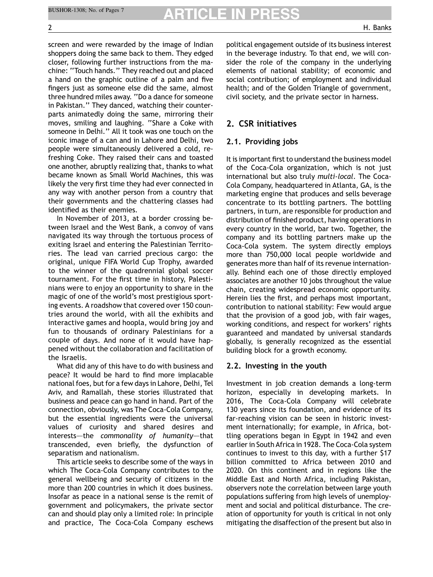# TICLE IN

screen and were rewarded by the image of Indian shoppers doing the same back to them. They edged closer, following further instructions from the machine: ''Touch hands.'' They reached out and placed a hand on the graphic outline of a palm and five fingers just as someone else did the same, almost three hundred miles away. ''Do a dance for someone in Pakistan.'' They danced, watching their counterparts animatedly doing the same, mirroring their moves, smiling and laughing. ''Share a Coke with someone in Delhi.'' All it took was one touch on the iconic image of a can and in Lahore and Delhi, two people were simultaneously delivered a cold, refreshing Coke. They raised their cans and toasted one another, abruptly realizing that, thanks to what became known as Small World Machines, this was likely the very first time they had ever connected in any way with another person from a country that their governments and the chattering classes had identified as their enemies.

In November of 2013, at a border crossing between Israel and the West Bank, a convoy of vans navigated its way through the tortuous process of exiting Israel and entering the Palestinian Territories. The lead van carried precious cargo: the original, unique FIFA World Cup Trophy, awarded to the winner of the quadrennial global soccer tournament. For the first time in history, Palestinians were to enjoy an opportunity to share in the magic of one of the world's most prestigious sporting events. A roadshow that covered over 150 countries around the world, with all the exhibits and interactive games and hoopla, would bring joy and fun to thousands of ordinary Palestinians for a couple of days. And none of it would have happened without the collaboration and facilitation of the Israelis.

What did any of this have to do with business and peace? It would be hard to find more implacable national foes, but for a few days in Lahore, Delhi, Tel Aviv, and Ramallah, these stories illustrated that business and peace can go hand in hand. Part of the connection, obviously, was The Coca-Cola Company, but the essential ingredients were the universal values of curiosity and shared desires and  $interests$ —the commonality of humanity—that transcended, even briefly, the dysfunction of separatism and nationalism.

This article seeks to describe some of the ways in which The Coca-Cola Company contributes to the general wellbeing and security of citizens in the more than 200 countries in which it does business. Insofar as peace in a national sense is the remit of government and policymakers, the private sector can and should play only a limited role: In principle and practice, The Coca-Cola Company eschews political engagement outside of its business interest in the beverage industry. To that end, we will consider the role of the company in the underlying elements of national stability; of economic and social contribution; of employment and individual health; and of the Golden Triangle of government, civil society, and the private sector in harness.

## 2. CSR initiatives

### 2.1. Providing jobs

It is important first to understand the business model of the Coca-Cola organization, which is not just international but also truly multi-local. The Coca-Cola Company, headquartered in Atlanta, GA, is the marketing engine that produces and sells beverage concentrate to its bottling partners. The bottling partners, in turn, are responsible for production and distribution of finished product, having operations in every country in the world, bar two. Together, the company and its bottling partners make up the Coca-Cola system. The system directly employs more than 750,000 local people worldwide and generates more than half of its revenue internationally. Behind each one of those directly employed associates are another 10 jobs throughout the value chain, creating widespread economic opportunity. Herein lies the first, and perhaps most important, contribution to national stability: Few would argue that the provision of a good job, with fair wages, working conditions, and respect for workers' rights guaranteed and mandated by universal standards globally, is generally recognized as the essential building block for a growth economy.

#### 2.2. Investing in the youth

Investment in job creation demands a long-term horizon, especially in developing markets. In 2016, The Coca-Cola Company will celebrate 130 years since its foundation, and evidence of its far-reaching vision can be seen in historic investment internationally; for example, in Africa, bottling operations began in Egypt in 1942 and even earlier in South Africa in 1928. The Coca-Cola system continues to invest to this day, with a further \$17 billion committed to Africa between 2010 and 2020. On this continent and in regions like the Middle East and North Africa, including Pakistan, observers note the correlation between large youth populations suffering from high levels of unemployment and social and political disturbance. The creation of opportunity for youth is critical in not only mitigating the disaffection of the present but also in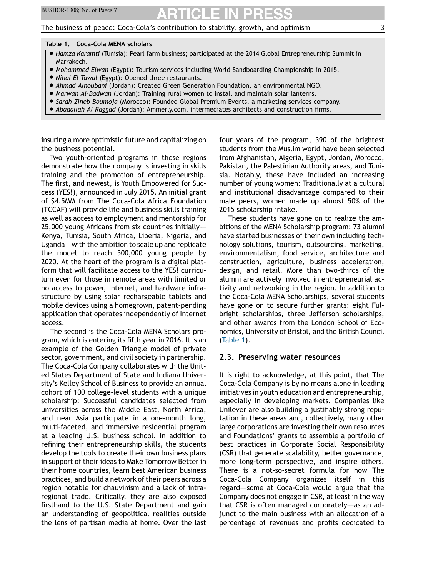#### The business of peace: Coca-Cola's contribution to stability, growth, and optimism 3

#### Table 1. Coca-Cola MENA scholars

- Hamza Karamti (Tunisia): Pearl farm business; participated at the 2014 Global Entrepreneurship Summit in Marrakech.
- $\bullet$  Mohammed Elwan (Egypt): Tourism services including World Sandboarding Championship in 2015.
- Nihal El Tawal (Egypt): Opened three restaurants.
- $\bullet$  Ahmad Alnoubani (Jordan): Created Green Generation Foundation, an environmental NGO.
- $\bullet$  Marwan Al-Badwan (Jordan): Training rural women to install and maintain solar lanterns.
- **•** Sarah Zineb Boumoja (Morocco): Founded Global Premium Events, a marketing services company.
- $\bullet$ Abadallah Al Raggad (Jordan): Ammerly.com, intermediates architects and construction firms.

insuring a more optimistic future and capitalizing on the business potential.

Two youth-oriented programs in these regions demonstrate how the company is investing in skills training and the promotion of entrepreneurship. The first, and newest, is Youth Empowered for Success (YES!), announced in July 2015. An initial grant of \$4.5MM from The Coca-Cola Africa Foundation (TCCAF) will provide life and business skills training as well as access to employment and mentorship for  $25,000$  young Africans from six countries initially— Kenya, Tunisia, South Africa, Liberia, Nigeria, and Uganda–—with the ambition to scale up and replicate the model to reach 500,000 young people by 2020. At the heart of the program is a digital platform that will facilitate access to the YES! curriculum even for those in remote areas with limited or no access to power, Internet, and hardware infrastructure by using solar rechargeable tablets and mobile devices using a homegrown, patent-pending application that operates independently of Internet access.

The second is the Coca-Cola MENA Scholars program, which is entering its fifth year in 2016. It is an example of the Golden Triangle model of private sector, government, and civil society in partnership. The Coca-Cola Company collaborates with the United States Department of State and Indiana University's Kelley School of Business to provide an annual cohort of 100 college-level students with a unique scholarship: Successful candidates selected from universities across the Middle East, North Africa, and near Asia participate in a one-month long, multi-faceted, and immersive residential program at a leading U.S. business school. In addition to refining their entrepreneurship skills, the students develop the tools to create their own business plans in support of their ideas to Make Tomorrow Better in their home countries, learn best American business practices, and build a network of their peers across a region notable for chauvinism and a lack of intraregional trade. Critically, they are also exposed firsthand to the U.S. State Department and gain an understanding of geopolitical realities outside the lens of partisan media at home. Over the last four years of the program, 390 of the brightest students from the Muslim world have been selected from Afghanistan, Algeria, Egypt, Jordan, Morocco, Pakistan, the Palestinian Authority areas, and Tunisia. Notably, these have included an increasing number of young women: Traditionally at a cultural and institutional disadvantage compared to their male peers, women made up almost 50% of the 2015 scholarship intake.

These students have gone on to realize the ambitions of the MENA Scholarship program: 73 alumni have started businesses of their own including technology solutions, tourism, outsourcing, marketing, environmentalism, food service, architecture and construction, agriculture, business acceleration, design, and retail. More than two-thirds of the alumni are actively involved in entrepreneurial activity and networking in the region. In addition to the Coca-Cola MENA Scholarships, several students have gone on to secure further grants: eight Fulbright scholarships, three Jefferson scholarships, and other awards from the London School of Economics, University of Bristol, and the British Council (Table 1).

#### 2.3. Preserving water resources

It is right to acknowledge, at this point, that The Coca-Cola Company is by no means alone in leading initiatives in youth education and entrepreneurship, especially in developing markets. Companies like Unilever are also building a justifiably strong reputation in these areas and, collectively, many other large corporations are investing their own resources and Foundations' grants to assemble a portfolio of best practices in Corporate Social Responsibility (CSR) that generate scalability, better governance, more long-term perspective, and inspire others. There is a not-so-secret formula for how The Coca-Cola Company organizes itself in this regard–—some at Coca-Cola would argue that the Company does not engage in CSR, at least in the way that CSR is often managed corporately—as an adjunct to the main business with an allocation of a percentage of revenues and profits dedicated to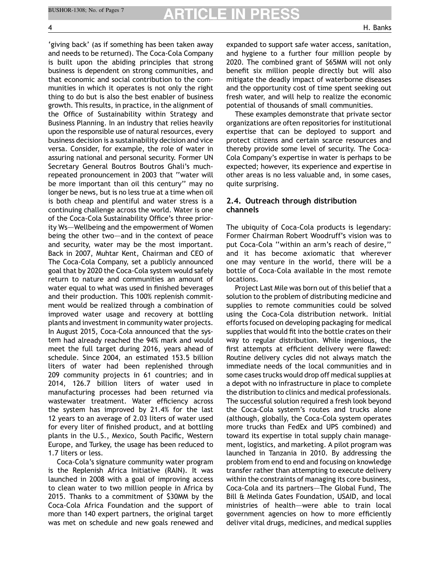'giving back' (as if something has been taken away and needs to be returned). The Coca-Cola Company is built upon the abiding principles that strong business is dependent on strong communities, and that economic and social contribution to the communities in which it operates is not only the right thing to do but is also the best enabler of business growth. This results, in practice, in the alignment of the Office of Sustainability within Strategy and Business Planning. In an industry that relies heavily upon the responsible use of natural resources, every business decision is a sustainability decision and vice versa. Consider, for example, the role of water in assuring national and personal security. Former UN Secretary General Boutros Boutros Ghali's muchrepeated pronouncement in 2003 that ''water will be more important than oil this century'' may no longer be news, but is no less true at a time when oil is both cheap and plentiful and water stress is a continuing challenge across the world. Water is one of the Coca-Cola Sustainability Office's three priority Ws–—Wellbeing and the empowerment of Women being the other two–—and in the context of peace and security, water may be the most important. Back in 2007, Muhtar Kent, Chairman and CEO of The Coca-Cola Company, set a publicly announced goal that by 2020 the Coca-Cola system would safely return to nature and communities an amount of water equal to what was used in finished beverages and their production. This 100% replenish commitment would be realized through a combination of improved water usage and recovery at bottling plants and investment in community water projects. In August 2015, Coca-Cola announced that the system had already reached the 94% mark and would meet the full target during 2016, years ahead of schedule. Since 2004, an estimated 153.5 billion liters of water had been replenished through 209 community projects in 61 countries; and in 2014, 126.7 billion liters of water used in manufacturing processes had been returned via wastewater treatment. Water efficiency across the system has improved by 21.4% for the last 12 years to an average of 2.03 liters of water used for every liter of finished product, and at bottling plants in the U.S., Mexico, South Pacific, Western Europe, and Turkey, the usage has been reduced to 1.7 liters or less.

Coca-Cola's signature community water program is the Replenish Africa Initiative (RAIN). It was launched in 2008 with a goal of improving access to clean water to two million people in Africa by 2015. Thanks to a commitment of \$30MM by the Coca-Cola Africa Foundation and the support of more than 140 expert partners, the original target was met on schedule and new goals renewed and expanded to support safe water access, sanitation, and hygiene to a further four million people by 2020. The combined grant of \$65MM will not only benefit six million people directly but will also mitigate the deadly impact of waterborne diseases and the opportunity cost of time spent seeking out fresh water, and will help to realize the economic potential of thousands of small communities.

These examples demonstrate that private sector organizations are often repositories for institutional expertise that can be deployed to support and protect citizens and certain scarce resources and thereby provide some level of security. The Coca-Cola Company's expertise in water is perhaps to be expected; however, its experience and expertise in other areas is no less valuable and, in some cases, quite surprising.

### 2.4. Outreach through distribution channels

The ubiquity of Coca-Cola products is legendary: Former Chairman Robert Woodruff's vision was to put Coca-Cola ''within an arm's reach of desire,'' and it has become axiomatic that wherever one may venture in the world, there will be a bottle of Coca-Cola available in the most remote locations.

Project Last Mile was born out of this belief that a solution to the problem of distributing medicine and supplies to remote communities could be solved using the Coca-Cola distribution network. Initial efforts focused on developing packaging for medical supplies that would fit into the bottle crates on their way to regular distribution. While ingenious, the first attempts at efficient delivery were flawed: Routine delivery cycles did not always match the immediate needs of the local communities and in some cases trucks would drop off medical supplies at a depot with no infrastructure in place to complete the distribution to clinics and medical professionals. The successful solution required a fresh look beyond the Coca-Cola system's routes and trucks alone (although, globally, the Coca-Cola system operates more trucks than FedEx and UPS combined) and toward its expertise in total supply chain management, logistics, and marketing. A pilot program was launched in Tanzania in 2010. By addressing the problem from end to end and focusing on knowledge transfer rather than attempting to execute delivery within the constraints of managing its core business, Coca-Cola and its partners–—The Global Fund, The Bill & Melinda Gates Foundation, USAID, and local ministries of health—were able to train local government agencies on how to more efficiently deliver vital drugs, medicines, and medical supplies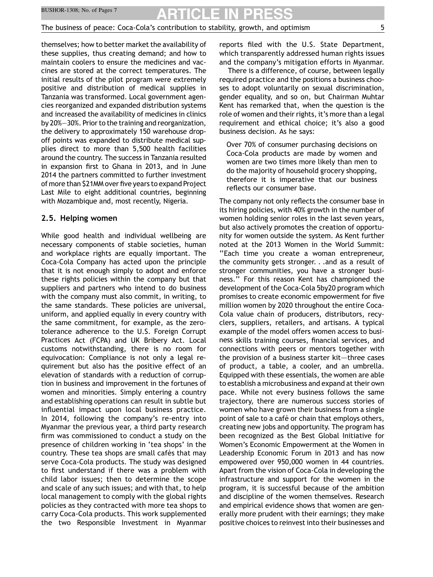### The business of peace: Coca-Cola's contribution to stability, growth, and optimism 5

themselves; how to better market the availability of these supplies, thus creating demand; and how to maintain coolers to ensure the medicines and vaccines are stored at the correct temperatures. The initial results of the pilot program were extremely positive and distribution of medical supplies in Tanzania was transformed. Local government agencies reorganized and expanded distribution systems and increased the availability of medicines in clinics by 20%–30%. Prior to the training and reorganization, the delivery to approximately 150 warehouse dropoff points was expanded to distribute medical supplies direct to more than 5,500 health facilities around the country. The success in Tanzania resulted in expansion first to Ghana in 2013, and in June 2014 the partners committed to further investment of more than \$21MM over five years to expand Project Last Mile to eight additional countries, beginning with Mozambique and, most recently, Nigeria.

#### 2.5. Helping women

While good health and individual wellbeing are necessary components of stable societies, human and workplace rights are equally important. The Coca-Cola Company has acted upon the principle that it is not enough simply to adopt and enforce these rights policies within the company but that suppliers and partners who intend to do business with the company must also commit, in writing, to the same standards. These policies are universal, uniform, and applied equally in every country with the same commitment, for example, as the zerotolerance adherence to the U.S. Foreign Corrupt Practices Act (FCPA) and UK Bribery Act. Local customs notwithstanding, there is no room for equivocation: Compliance is not only a legal requirement but also has the positive effect of an elevation of standards with a reduction of corruption in business and improvement in the fortunes of women and minorities. Simply entering a country and establishing operations can result in subtle but influential impact upon local business practice. In 2014, following the company's re-entry into Myanmar the previous year, a third party research firm was commissioned to conduct a study on the presence of children working in 'tea shops' in the country. These tea shops are small cafés that may serve Coca-Cola products. The study was designed to first understand if there was a problem with child labor issues; then to determine the scope and scale of any such issues; and with that, to help local management to comply with the global rights policies as they contracted with more tea shops to carry Coca-Cola products. This work supplemented the two Responsible Investment in Myanmar reports filed with the U.S. State Department, which transparently addressed human rights issues and the company's mitigation efforts in Myanmar.

There is a difference, of course, between legally required practice and the positions a business chooses to adopt voluntarily on sexual discrimination, gender equality, and so on, but Chairman Muhtar Kent has remarked that, when the question is the role of women and their rights, it's more than a legal requirement and ethical choice; it's also a good business decision. As he says:

Over 70% of consumer purchasing decisions on Coca-Cola products are made by women and women are two times more likely than men to do the majority of household grocery shopping, therefore it is imperative that our business reflects our consumer base.

The company not only reflects the consumer base in its hiring policies, with 40% growth in the number of women holding senior roles in the last seven years, but also actively promotes the creation of opportunity for women outside the system. As Kent further noted at the 2013 Women in the World Summit: ''Each time you create a woman entrepreneur, the community gets stronger. . .and as a result of stronger communities, you have a stronger business.'' For this reason Kent has championed the development of the Coca-Cola 5by20 program which promises to create economic empowerment for five million women by 2020 throughout the entire Coca-Cola value chain of producers, distributors, recyclers, suppliers, retailers, and artisans. A typical example of the model offers women access to business skills training courses, financial services, and connections with peers or mentors together with the provision of a business starter kit—three cases of product, a table, a cooler, and an umbrella. Equipped with these essentials, the women are able to establish a microbusiness and expand at their own pace. While not every business follows the same trajectory, there are numerous success stories of women who have grown their business from a single point of sale to a café or chain that employs others, creating new jobs and opportunity. The program has been recognized as the Best Global Initiative for Women's Economic Empowerment at the Women in Leadership Economic Forum in 2013 and has now empowered over 950,000 women in 44 countries. Apart from the vision of Coca-Cola in developing the infrastructure and support for the women in the program, it is successful because of the ambition and discipline of the women themselves. Research and empirical evidence shows that women are generally more prudent with their earnings; they make positive choices to reinvest into their businesses and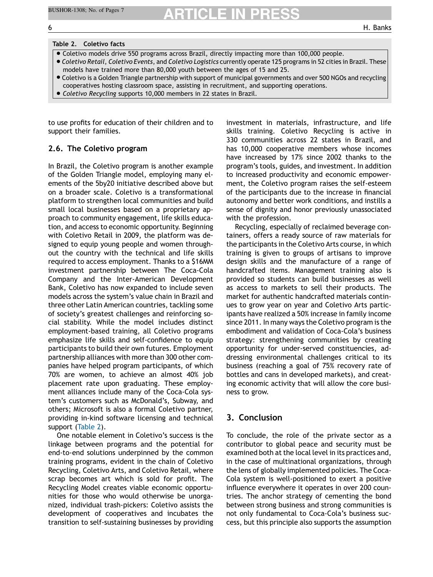#### Table 2. Coletivo facts

- · Coletivo models drive 550 programs across Brazil, directly impacting more than 100,000 people.
- · Coletivo Retail, Coletivo Events, and Coletivo Logistics currently operate 125 programs in 52 cities in Brazil. These models have trained more than 80,000 youth between the ages of 15 and 25.
- Coletivo is a Golden Triangle partnership with support of municipal governments and over 500 NGOs and recycling cooperatives hosting classroom space, assisting in recruitment, and supporting operations.
- $\bullet$  Coletivo Recycling supports 10,000 members in 22 states in Brazil.

to use profits for education of their children and to support their families.

## 2.6. The Coletivo program

In Brazil, the Coletivo program is another example of the Golden Triangle model, employing many elements of the 5by20 initiative described above but on a broader scale. Coletivo is a transformational platform to strengthen local communities and build small local businesses based on a proprietary approach to community engagement, life skills education, and access to economic opportunity. Beginning with Coletivo Retail in 2009, the platform was designed to equip young people and women throughout the country with the technical and life skills required to access employment. Thanks to a \$16MM investment partnership between The Coca-Cola Company and the Inter-American Development Bank, Coletivo has now expanded to include seven models across the system's value chain in Brazil and three other Latin American countries, tackling some of society's greatest challenges and reinforcing social stability. While the model includes distinct employment-based training, all Coletivo programs emphasize life skills and self-confidence to equip participants to build their own futures. Employment partnership alliances with more than 300 other companies have helped program participants, of which 70% are women, to achieve an almost 40% job placement rate upon graduating. These employment alliances include many of the Coca-Cola system's customers such as McDonald's, Subway, and others; Microsoft is also a formal Coletivo partner, providing in-kind software licensing and technical support (Table 2).

One notable element in Coletivo's success is the linkage between programs and the potential for end-to-end solutions underpinned by the common training programs, evident in the chain of Coletivo Recycling, Coletivo Arts, and Coletivo Retail, where scrap becomes art which is sold for profit. The Recycling Model creates viable economic opportunities for those who would otherwise be unorganized, individual trash-pickers: Coletivo assists the development of cooperatives and incubates the transition to self-sustaining businesses by providing investment in materials, infrastructure, and life skills training. Coletivo Recycling is active in 330 communities across 22 states in Brazil, and has 10,000 cooperative members whose incomes have increased by 17% since 2002 thanks to the program's tools, guides, and investment. In addition to increased productivity and economic empowerment, the Coletivo program raises the self-esteem of the participants due to the increase in financial autonomy and better work conditions, and instills a sense of dignity and honor previously unassociated with the profession.

Recycling, especially of reclaimed beverage containers, offers a ready source of raw materials for the participants in the Coletivo Arts course, in which training is given to groups of artisans to improve design skills and the manufacture of a range of handcrafted items. Management training also is provided so students can build businesses as well as access to markets to sell their products. The market for authentic handcrafted materials continues to grow year on year and Coletivo Arts participants have realized a 50% increase in family income since 2011. In many ways the Coletivo program is the embodiment and validation of Coca-Cola's business strategy: strengthening communities by creating opportunity for under-served constituencies, addressing environmental challenges critical to its business (reaching a goal of 75% recovery rate of bottles and cans in developed markets), and creating economic activity that will allow the core business to grow.

# 3. Conclusion

To conclude, the role of the private sector as a contributor to global peace and security must be examined both at the local level in its practices and, in the case of multinational organizations, through the lens of globally implemented policies. The Coca-Cola system is well-positioned to exert a positive influence everywhere it operates in over 200 countries. The anchor strategy of cementing the bond between strong business and strong communities is not only fundamental to Coca-Cola's business success, but this principle also supports the assumption